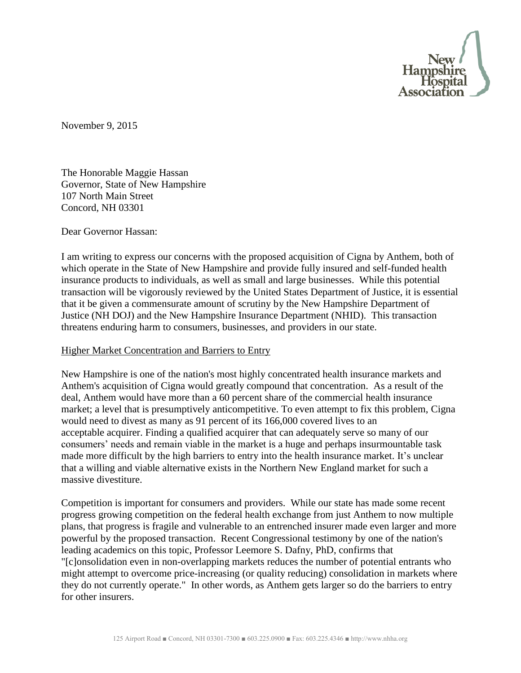

November 9, 2015

The Honorable Maggie Hassan Governor, State of New Hampshire 107 North Main Street Concord, NH 03301

Dear Governor Hassan:

I am writing to express our concerns with the proposed acquisition of Cigna by Anthem, both of which operate in the State of New Hampshire and provide fully insured and self-funded health insurance products to individuals, as well as small and large businesses. While this potential transaction will be vigorously reviewed by the United States Department of Justice, it is essential that it be given a commensurate amount of scrutiny by the New Hampshire Department of Justice (NH DOJ) and the New Hampshire Insurance Department (NHID). This transaction threatens enduring harm to consumers, businesses, and providers in our state.

## Higher Market Concentration and Barriers to Entry

New Hampshire is one of the nation's most highly concentrated health insurance markets and Anthem's acquisition of Cigna would greatly compound that concentration. As a result of the deal, Anthem would have more than a 60 percent share of the commercial health insurance market; a level that is presumptively anticompetitive. To even attempt to fix this problem, Cigna would need to divest as many as 91 percent of its 166,000 covered lives to an acceptable acquirer. Finding a qualified acquirer that can adequately serve so many of our consumers' needs and remain viable in the market is a huge and perhaps insurmountable task made more difficult by the high barriers to entry into the health insurance market. It's unclear that a willing and viable alternative exists in the Northern New England market for such a massive divestiture.

Competition is important for consumers and providers. While our state has made some recent progress growing competition on the federal health exchange from just Anthem to now multiple plans, that progress is fragile and vulnerable to an entrenched insurer made even larger and more powerful by the proposed transaction. Recent Congressional testimony by one of the nation's leading academics on this topic, Professor Leemore S. Dafny, PhD, confirms that "[c]onsolidation even in non-overlapping markets reduces the number of potential entrants who might attempt to overcome price-increasing (or quality reducing) consolidation in markets where they do not currently operate." In other words, as Anthem gets larger so do the barriers to entry for other insurers.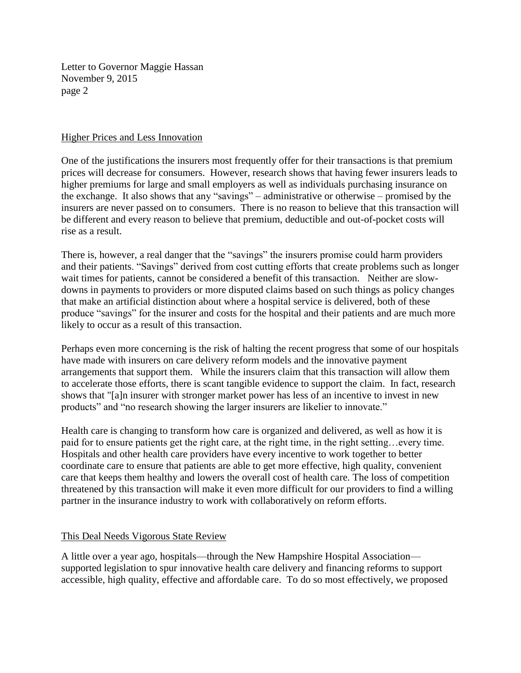Letter to Governor Maggie Hassan November 9, 2015 page 2

## Higher Prices and Less Innovation

One of the justifications the insurers most frequently offer for their transactions is that premium prices will decrease for consumers. However, research shows that having fewer insurers leads to higher premiums for large and small employers as well as individuals purchasing insurance on the exchange. It also shows that any "savings" – administrative or otherwise – promised by the insurers are never passed on to consumers. There is no reason to believe that this transaction will be different and every reason to believe that premium, deductible and out-of-pocket costs will rise as a result.

There is, however, a real danger that the "savings" the insurers promise could harm providers and their patients. "Savings" derived from cost cutting efforts that create problems such as longer wait times for patients, cannot be considered a benefit of this transaction. Neither are slowdowns in payments to providers or more disputed claims based on such things as policy changes that make an artificial distinction about where a hospital service is delivered, both of these produce "savings" for the insurer and costs for the hospital and their patients and are much more likely to occur as a result of this transaction.

Perhaps even more concerning is the risk of halting the recent progress that some of our hospitals have made with insurers on care delivery reform models and the innovative payment arrangements that support them. While the insurers claim that this transaction will allow them to accelerate those efforts, there is scant tangible evidence to support the claim. In fact, research shows that "[a]n insurer with stronger market power has less of an incentive to invest in new products" and "no research showing the larger insurers are likelier to innovate."

Health care is changing to transform how care is organized and delivered, as well as how it is paid for to ensure patients get the right care, at the right time, in the right setting…every time. Hospitals and other health care providers have every incentive to work together to better coordinate care to ensure that patients are able to get more effective, high quality, convenient care that keeps them healthy and lowers the overall cost of health care. The loss of competition threatened by this transaction will make it even more difficult for our providers to find a willing partner in the insurance industry to work with collaboratively on reform efforts.

## This Deal Needs Vigorous State Review

A little over a year ago, hospitals—through the New Hampshire Hospital Association supported legislation to spur innovative health care delivery and financing reforms to support accessible, high quality, effective and affordable care. To do so most effectively, we proposed